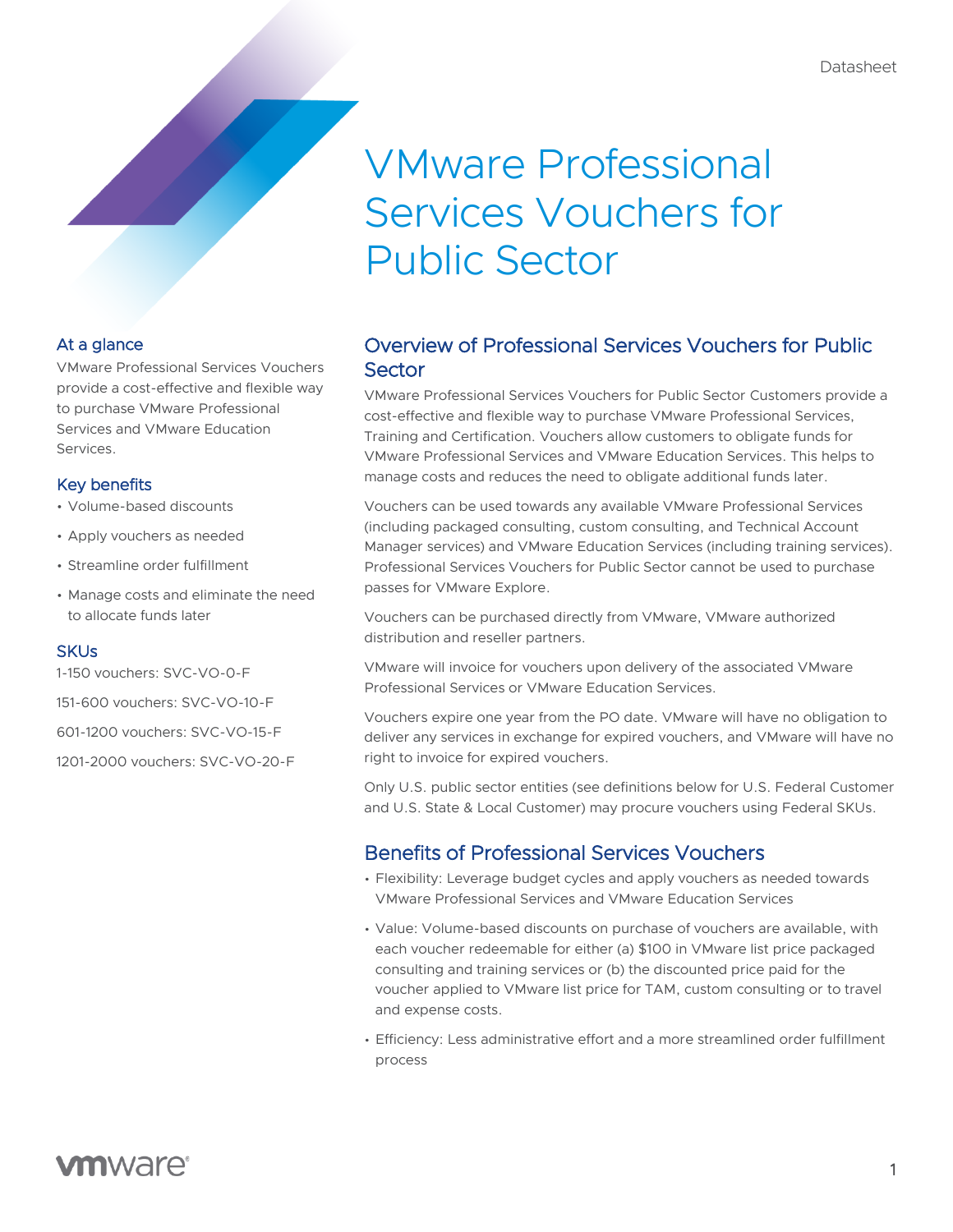# VMware Professional Services Vouchers for Public Sector

#### At a glance

VMware Professional Services Vouchers provide a cost-effective and flexible way to purchase VMware Professional Services and VMware Education Services.

#### Key benefits

- Volume-based discounts
- Apply vouchers as needed
- Streamline order fulfillment
- Manage costs and eliminate the need to allocate funds later

#### **SKUs**

1-150 vouchers: SVC-VO-0-F

151-600 vouchers: SVC-VO-10-F

601-1200 vouchers: SVC-VO-15-F

1201-2000 vouchers: SVC-VO-20-F

## Overview of Professional Services Vouchers for Public **Sector**

VMware Professional Services Vouchers for Public Sector Customers provide a cost-effective and flexible way to purchase VMware Professional Services, Training and Certification. Vouchers allow customers to obligate funds for VMware Professional Services and VMware Education Services. This helps to manage costs and reduces the need to obligate additional funds later.

Vouchers can be used towards any available VMware Professional Services (including packaged consulting, custom consulting, and Technical Account Manager services) and VMware Education Services (including training services). Professional Services Vouchers for Public Sector cannot be used to purchase passes for VMware Explore.

Vouchers can be purchased directly from VMware, VMware authorized distribution and reseller partners.

VMware will invoice for vouchers upon delivery of the associated VMware Professional Services or VMware Education Services.

Vouchers expire one year from the PO date. VMware will have no obligation to deliver any services in exchange for expired vouchers, and VMware will have no right to invoice for expired vouchers.

Only U.S. public sector entities (see definitions below for U.S. Federal Customer and U.S. State & Local Customer) may procure vouchers using Federal SKUs.

### Benefits of Professional Services Vouchers

- Flexibility: Leverage budget cycles and apply vouchers as needed towards VMware Professional Services and VMware Education Services
- Value: Volume-based discounts on purchase of vouchers are available, with each voucher redeemable for either (a) \$100 in VMware list price packaged consulting and training services or (b) the discounted price paid for the voucher applied to VMware list price for TAM, custom consulting or to travel and expense costs.
- Efficiency: Less administrative effort and a more streamlined order fulfillment process

# **vm**ware<sup>®</sup>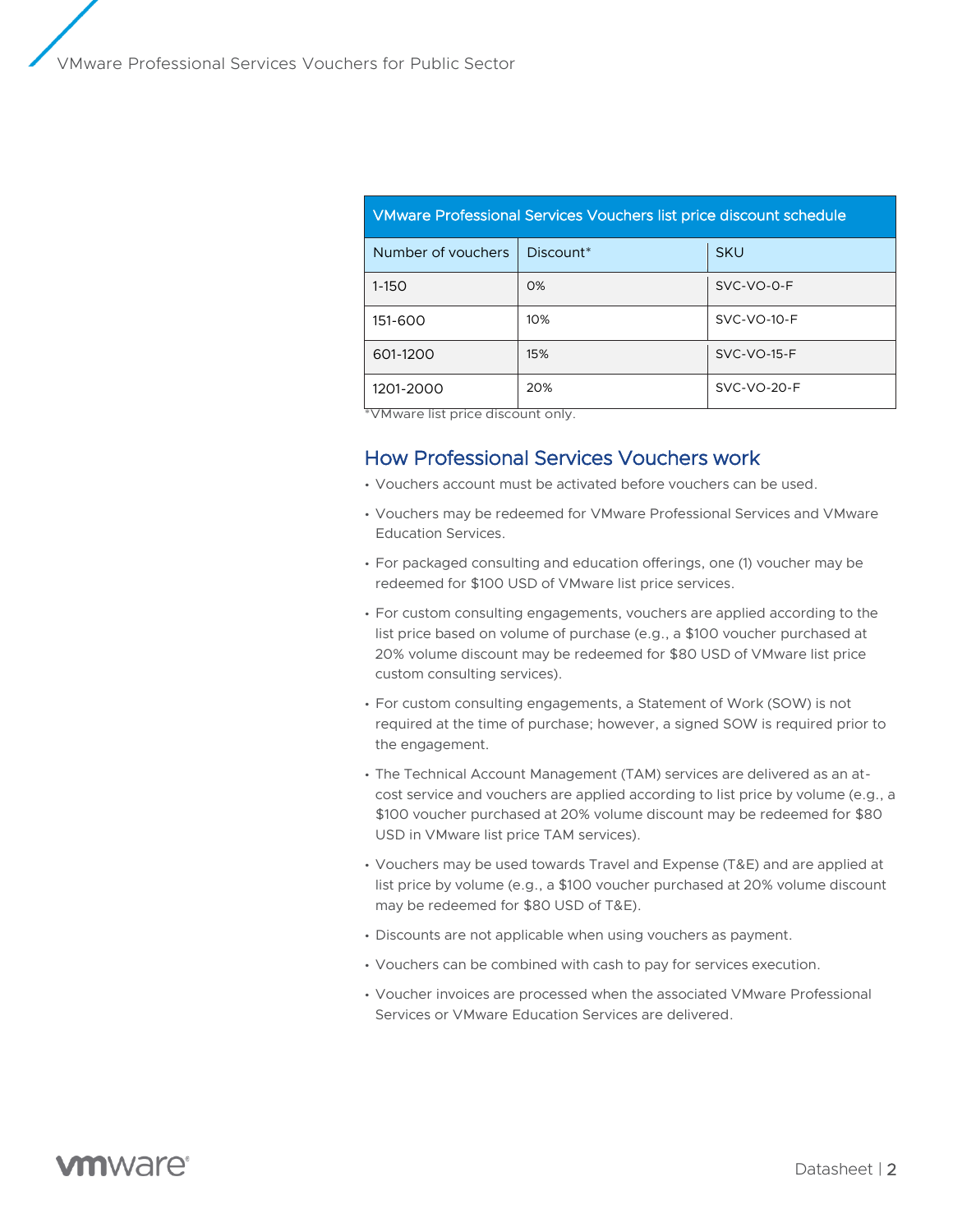| VMware Professional Services Vouchers list price discount schedule |           |               |
|--------------------------------------------------------------------|-----------|---------------|
| Number of vouchers                                                 | Discount* | <b>SKU</b>    |
| $1 - 150$                                                          | $O\%$     | $SVC-VO-O-F$  |
| 151-600                                                            | 10%       | $SVC-VO-10-F$ |
| 601-1200                                                           | 15%       | $SVC-VO-15-F$ |
| 1201-2000<br>.                                                     | 20%       | $SVC-VO-2O-F$ |

\*VMware list price discount only.

#### How Professional Services Vouchers work

- Vouchers account must be activated before vouchers can be used.
- Vouchers may be redeemed for VMware Professional Services and VMware Education Services.
- For packaged consulting and education offerings, one (1) voucher may be redeemed for \$100 USD of VMware list price services.
- For custom consulting engagements, vouchers are applied according to the list price based on volume of purchase (e.g., a \$100 voucher purchased at 20% volume discount may be redeemed for \$80 USD of VMware list price custom consulting services).
- For custom consulting engagements, a Statement of Work (SOW) is not required at the time of purchase; however, a signed SOW is required prior to the engagement.
- The Technical Account Management (TAM) services are delivered as an atcost service and vouchers are applied according to list price by volume (e.g., a \$100 voucher purchased at 20% volume discount may be redeemed for \$80 USD in VMware list price TAM services).
- Vouchers may be used towards Travel and Expense (T&E) and are applied at list price by volume (e.g., a \$100 voucher purchased at 20% volume discount may be redeemed for \$80 USD of T&E).
- Discounts are not applicable when using vouchers as payment.
- Vouchers can be combined with cash to pay for services execution.
- Voucher invoices are processed when the associated VMware Professional Services or VMware Education Services are delivered.

# **vm**ware<sup>®</sup>